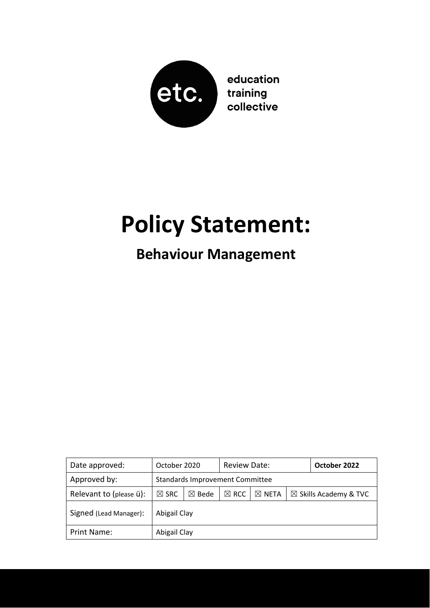

## **Policy Statement:**

### **Behaviour Management**

| Date approved:          | October 2020                           |                  | Review Date:    |                  |                                  | October 2022 |
|-------------------------|----------------------------------------|------------------|-----------------|------------------|----------------------------------|--------------|
| Approved by:            | <b>Standards Improvement Committee</b> |                  |                 |                  |                                  |              |
| Relevant to (please ü): | $\boxtimes$ SRC                        | $\boxtimes$ Bede | $\boxtimes$ RCC | $\boxtimes$ NETA | $\boxtimes$ Skills Academy & TVC |              |
| Signed (Lead Manager):  | Abigail Clay                           |                  |                 |                  |                                  |              |
| Print Name:             | Abigail Clay                           |                  |                 |                  |                                  |              |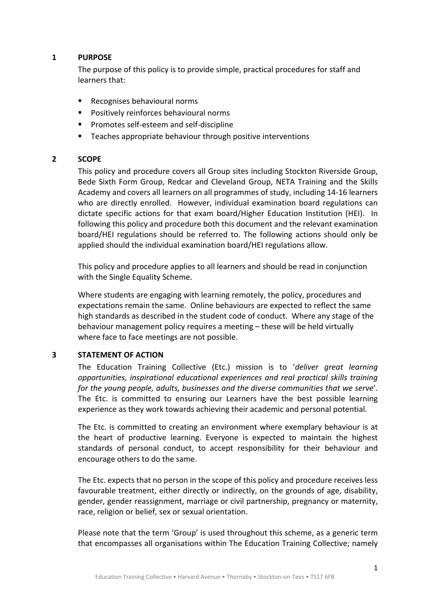#### **1 PURPOSE**

The purpose of this policy is to provide simple, practical procedures for staff and learners that:

- Recognises behavioural norms
- Positively reinforces behavioural norms
- Promotes self‐esteem and self‐discipline
- **EXEC** Teaches appropriate behaviour through positive interventions

#### **2 SCOPE**

This policy and procedure covers all Group sites including Stockton Riverside Group, Bede Sixth Form Group, Redcar and Cleveland Group, NETA Training and the Skills Academy and covers all learners on all programmes of study, including 14‐16 learners who are directly enrolled. However, individual examination board regulations can dictate specific actions for that exam board/Higher Education Institution (HEI). In following this policy and procedure both this document and the relevant examination board/HEI regulations should be referred to. The following actions should only be applied should the individual examination board/HEI regulations allow.

This policy and procedure applies to all learners and should be read in conjunction with the Single Equality Scheme.

Where students are engaging with learning remotely, the policy, procedures and expectations remain the same. Online behaviours are expected to reflect the same high standards as described in the student code of conduct. Where any stage of the behaviour management policy requires a meeting – these will be held virtually where face to face meetings are not possible.

#### **3 STATEMENT OF ACTION**

The Education Training Collective (Etc.) mission is to '*deliver great learning opportunities, inspirational educational experiences and real practical skills training for the young people, adults, businesses and the diverse communities that we serve*'. The Etc. is committed to ensuring our Learners have the best possible learning experience as they work towards achieving their academic and personal potential.

The Etc. is committed to creating an environment where exemplary behaviour is at the heart of productive learning. Everyone is expected to maintain the highest standards of personal conduct, to accept responsibility for their behaviour and encourage others to do the same.

The Etc. expects that no person in the scope of this policy and procedure receives less favourable treatment, either directly or indirectly, on the grounds of age, disability, gender, gender reassignment, marriage or civil partnership, pregnancy or maternity, race, religion or belief, sex or sexual orientation.

Please note that the term 'Group' is used throughout this scheme, as a generic term that encompasses all organisations within The Education Training Collective; namely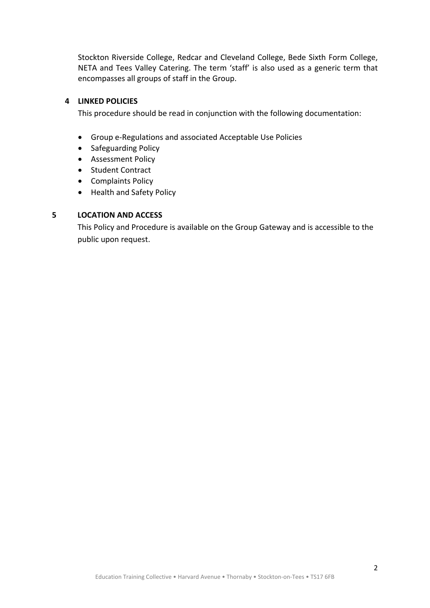Stockton Riverside College, Redcar and Cleveland College, Bede Sixth Form College, NETA and Tees Valley Catering. The term 'staff' is also used as a generic term that encompasses all groups of staff in the Group.

#### **4 LINKED POLICIES**

This procedure should be read in conjunction with the following documentation:

- Group e‐Regulations and associated Acceptable Use Policies
- Safeguarding Policy
- Assessment Policy
- Student Contract
- Complaints Policy
- Health and Safety Policy

#### **5 LOCATION AND ACCESS**

This Policy and Procedure is available on the Group Gateway and is accessible to the public upon request.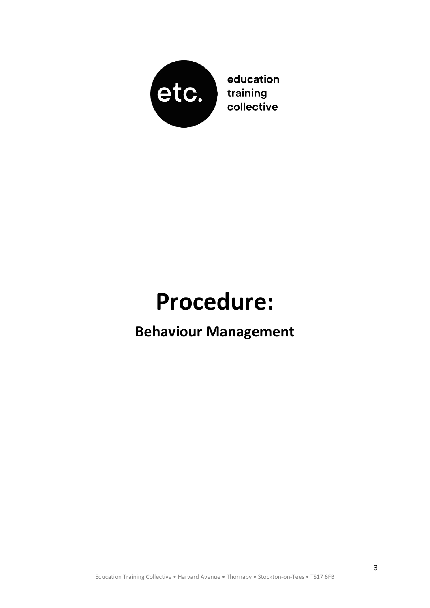

education training collective

# **Procedure:**

### **Behaviour Management**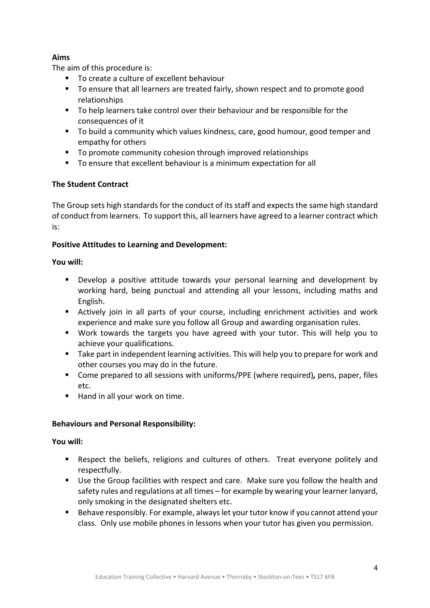#### **Aims**

The aim of this procedure is:

- To create a culture of excellent behaviour
- To ensure that all learners are treated fairly, shown respect and to promote good relationships
- To help learners take control over their behaviour and be responsible for the consequences of it
- To build a community which values kindness, care, good humour, good temper and empathy for others
- To promote community cohesion through improved relationships
- To ensure that excellent behaviour is a minimum expectation for all

#### **The Student Contract**

The Group sets high standards for the conduct of its staff and expects the same high standard of conduct from learners. To support this, all learners have agreed to a learner contract which is:

#### Positive Attitudes to Learning and Development:

#### **You will:**

- **Develop a positive attitude towards your personal learning and development by** working hard, being punctual and attending all your lessons, including maths and English.
- Actively join in all parts of your course, including enrichment activities and work experience and make sure you follow all Group and awarding organisation rules.
- Work towards the targets you have agreed with your tutor. This will help you to achieve your qualifications.
- Take part in independent learning activities. This will help you to prepare for work and other courses you may do in the future.
- Come prepared to all sessions with uniforms/PPE (where required)*,* pens, paper, files etc.
- Hand in all your work on time.

#### **Behaviours and Personal Responsibility:**

#### **You will:**

- Respect the beliefs, religions and cultures of others. Treat everyone politely and respectfully.
- Use the Group facilities with respect and care. Make sure you follow the health and safety rules and regulations at all times – for example by wearing your learner lanyard, only smoking in the designated shelters etc.
- Behave responsibly. For example, always let your tutor know if you cannot attend your class. Only use mobile phones in lessons when your tutor has given you permission.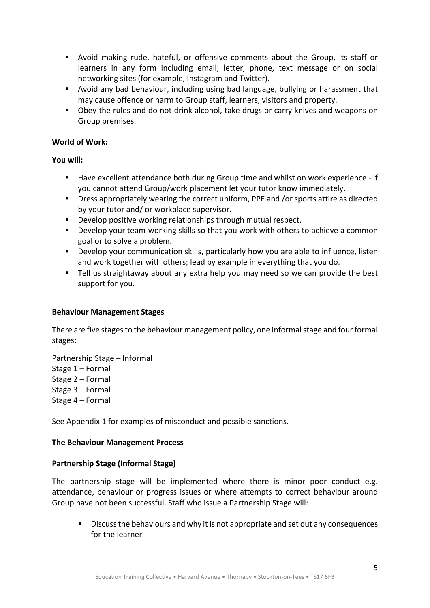- Avoid making rude, hateful, or offensive comments about the Group, its staff or learners in any form including email, letter, phone, text message or on social networking sites (for example, Instagram and Twitter).
- Avoid any bad behaviour, including using bad language, bullying or harassment that may cause offence or harm to Group staff, learners, visitors and property.
- Obey the rules and do not drink alcohol, take drugs or carry knives and weapons on Group premises.

#### **World of Work:**

**You will:** 

- Have excellent attendance both during Group time and whilst on work experience if you cannot attend Group/work placement let your tutor know immediately.
- **P** Dress appropriately wearing the correct uniform, PPE and /or sports attire as directed by your tutor and/ or workplace supervisor.
- **Develop positive working relationships through mutual respect.**
- Develop your team-working skills so that you work with others to achieve a common goal or to solve a problem.
- **•** Develop your communication skills, particularly how you are able to influence, listen and work together with others; lead by example in everything that you do.
- Tell us straightaway about any extra help you may need so we can provide the best support for you.

#### **Behaviour Management Stages**

There are five stages to the behaviour management policy, one informal stage and four formal stages:

Partnership Stage – Informal Stage 1 – Formal Stage 2 – Formal Stage 3 – Formal Stage 4 – Formal

See Appendix 1 for examples of misconduct and possible sanctions.

#### **The Behaviour Management Process**

#### **Partnership Stage (Informal Stage)**

The partnership stage will be implemented where there is minor poor conduct e.g. attendance, behaviour or progress issues or where attempts to correct behaviour around Group have not been successful. Staff who issue a Partnership Stage will:

 Discuss the behaviours and why it is not appropriate and set out any consequences for the learner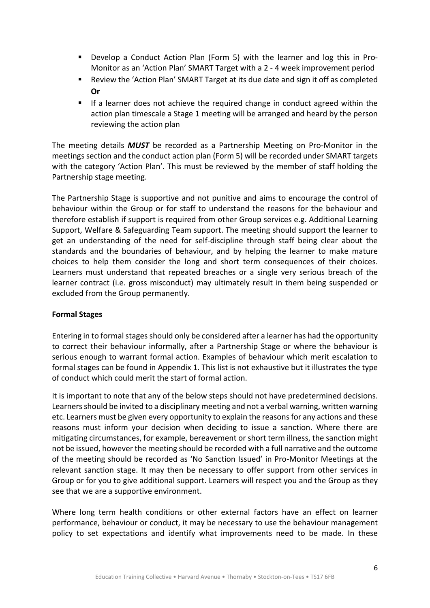- Develop a Conduct Action Plan (Form 5) with the learner and log this in Pro-Monitor as an 'Action Plan' SMART Target with a 2 ‐ 4 week improvement period
- Review the 'Action Plan' SMART Target at its due date and sign it off as completed **Or**
- If a learner does not achieve the required change in conduct agreed within the action plan timescale a Stage 1 meeting will be arranged and heard by the person reviewing the action plan

The meeting details **MUST** be recorded as a Partnership Meeting on Pro-Monitor in the meetings section and the conduct action plan (Form 5) will be recorded under SMART targets with the category 'Action Plan'. This must be reviewed by the member of staff holding the Partnership stage meeting.

The Partnership Stage is supportive and not punitive and aims to encourage the control of behaviour within the Group or for staff to understand the reasons for the behaviour and therefore establish if support is required from other Group services e.g. Additional Learning Support, Welfare & Safeguarding Team support. The meeting should support the learner to get an understanding of the need for self-discipline through staff being clear about the standards and the boundaries of behaviour, and by helping the learner to make mature choices to help them consider the long and short term consequences of their choices. Learners must understand that repeated breaches or a single very serious breach of the learner contract (i.e. gross misconduct) may ultimately result in them being suspended or excluded from the Group permanently.

#### **Formal Stages**

Entering in to formal stages should only be considered after a learner has had the opportunity to correct their behaviour informally, after a Partnership Stage or where the behaviour is serious enough to warrant formal action. Examples of behaviour which merit escalation to formal stages can be found in Appendix 1. This list is not exhaustive but it illustrates the type of conduct which could merit the start of formal action.

It is important to note that any of the below steps should not have predetermined decisions. Learners should be invited to a disciplinary meeting and not a verbal warning, written warning etc. Learners must be given every opportunity to explain the reasons for any actions and these reasons must inform your decision when deciding to issue a sanction. Where there are mitigating circumstances, for example, bereavement or short term illness, the sanction might not be issued, however the meeting should be recorded with a full narrative and the outcome of the meeting should be recorded as 'No Sanction Issued' in Pro‐Monitor Meetings at the relevant sanction stage. It may then be necessary to offer support from other services in Group or for you to give additional support. Learners will respect you and the Group as they see that we are a supportive environment.

Where long term health conditions or other external factors have an effect on learner performance, behaviour or conduct, it may be necessary to use the behaviour management policy to set expectations and identify what improvements need to be made. In these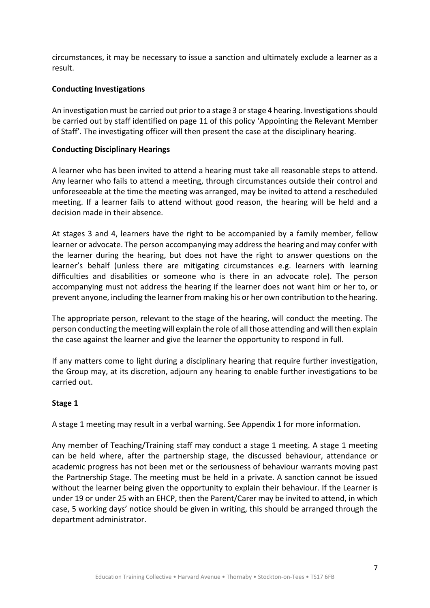circumstances, it may be necessary to issue a sanction and ultimately exclude a learner as a result.

#### **Conducting Investigations**

An investigation must be carried out prior to a stage 3 or stage 4 hearing. Investigations should be carried out by staff identified on page 11 of this policy 'Appointing the Relevant Member of Staff'. The investigating officer will then present the case at the disciplinary hearing.

#### **Conducting Disciplinary Hearings**

A learner who has been invited to attend a hearing must take all reasonable steps to attend. Any learner who fails to attend a meeting, through circumstances outside their control and unforeseeable at the time the meeting was arranged, may be invited to attend a rescheduled meeting. If a learner fails to attend without good reason, the hearing will be held and a decision made in their absence.

At stages 3 and 4, learners have the right to be accompanied by a family member, fellow learner or advocate. The person accompanying may address the hearing and may confer with the learner during the hearing, but does not have the right to answer questions on the learner's behalf (unless there are mitigating circumstances e.g. learners with learning difficulties and disabilities or someone who is there in an advocate role). The person accompanying must not address the hearing if the learner does not want him or her to, or prevent anyone, including the learner from making his or her own contribution to the hearing.

The appropriate person, relevant to the stage of the hearing, will conduct the meeting. The person conducting the meeting will explain the role of all those attending and will then explain the case against the learner and give the learner the opportunity to respond in full.

If any matters come to light during a disciplinary hearing that require further investigation, the Group may, at its discretion, adjourn any hearing to enable further investigations to be carried out.

#### **Stage 1**

A stage 1 meeting may result in a verbal warning. See Appendix 1 for more information.

Any member of Teaching/Training staff may conduct a stage 1 meeting. A stage 1 meeting can be held where, after the partnership stage, the discussed behaviour, attendance or academic progress has not been met or the seriousness of behaviour warrants moving past the Partnership Stage. The meeting must be held in a private. A sanction cannot be issued without the learner being given the opportunity to explain their behaviour. If the Learner is under 19 or under 25 with an EHCP, then the Parent/Carer may be invited to attend, in which case, 5 working days' notice should be given in writing, this should be arranged through the department administrator.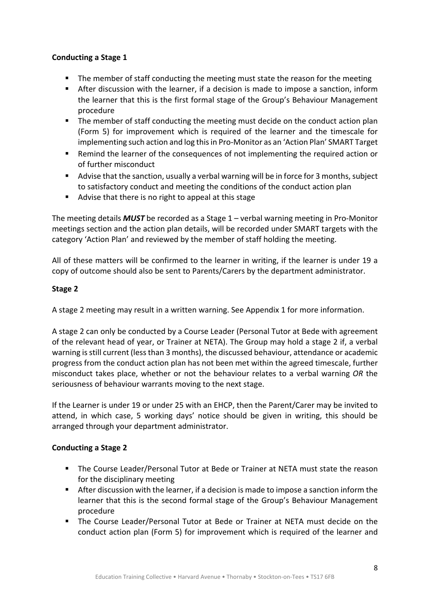#### **Conducting a Stage 1**

- The member of staff conducting the meeting must state the reason for the meeting
- After discussion with the learner, if a decision is made to impose a sanction, inform the learner that this is the first formal stage of the Group's Behaviour Management procedure
- **The member of staff conducting the meeting must decide on the conduct action plan** (Form 5) for improvement which is required of the learner and the timescale for implementing such action and log this in Pro‐Monitor as an 'Action Plan' SMART Target
- Remind the learner of the consequences of not implementing the required action or of further misconduct
- Advise that the sanction, usually a verbal warning will be in force for 3 months, subject to satisfactory conduct and meeting the conditions of the conduct action plan
- Advise that there is no right to appeal at this stage

The meeting details *MUST* be recorded as a Stage 1 – verbal warning meeting in Pro‐Monitor meetings section and the action plan details, will be recorded under SMART targets with the category 'Action Plan' and reviewed by the member of staff holding the meeting.

All of these matters will be confirmed to the learner in writing, if the learner is under 19 a copy of outcome should also be sent to Parents/Carers by the department administrator.

#### **Stage 2**

A stage 2 meeting may result in a written warning. See Appendix 1 for more information.

A stage 2 can only be conducted by a Course Leader (Personal Tutor at Bede with agreement of the relevant head of year, or Trainer at NETA). The Group may hold a stage 2 if, a verbal warning is still current (less than 3 months), the discussed behaviour, attendance or academic progress from the conduct action plan has not been met within the agreed timescale, further misconduct takes place, whether or not the behaviour relates to a verbal warning *OR* the seriousness of behaviour warrants moving to the next stage.

If the Learner is under 19 or under 25 with an EHCP, then the Parent/Carer may be invited to attend, in which case, 5 working days' notice should be given in writing, this should be arranged through your department administrator.

#### **Conducting a Stage 2**

- The Course Leader/Personal Tutor at Bede or Trainer at NETA must state the reason for the disciplinary meeting
- After discussion with the learner, if a decision is made to impose a sanction inform the learner that this is the second formal stage of the Group's Behaviour Management procedure
- The Course Leader/Personal Tutor at Bede or Trainer at NETA must decide on the conduct action plan (Form 5) for improvement which is required of the learner and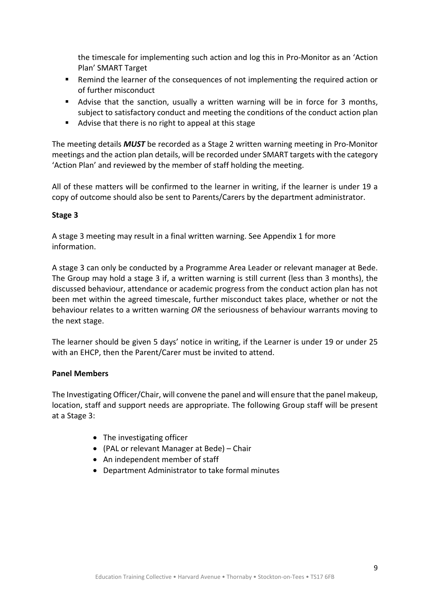the timescale for implementing such action and log this in Pro‐Monitor as an 'Action Plan' SMART Target

- Remind the learner of the consequences of not implementing the required action or of further misconduct
- Advise that the sanction, usually a written warning will be in force for 3 months, subject to satisfactory conduct and meeting the conditions of the conduct action plan
- Advise that there is no right to appeal at this stage

The meeting details *MUST* be recorded as a Stage 2 written warning meeting in Pro‐Monitor meetings and the action plan details, will be recorded under SMART targets with the category 'Action Plan' and reviewed by the member of staff holding the meeting.

All of these matters will be confirmed to the learner in writing, if the learner is under 19 a copy of outcome should also be sent to Parents/Carers by the department administrator.

#### **Stage 3**

A stage 3 meeting may result in a final written warning. See Appendix 1 for more information.

A stage 3 can only be conducted by a Programme Area Leader or relevant manager at Bede. The Group may hold a stage 3 if, a written warning is still current (less than 3 months), the discussed behaviour, attendance or academic progress from the conduct action plan has not been met within the agreed timescale, further misconduct takes place, whether or not the behaviour relates to a written warning *OR* the seriousness of behaviour warrants moving to the next stage.

The learner should be given 5 days' notice in writing, if the Learner is under 19 or under 25 with an EHCP, then the Parent/Carer must be invited to attend.

#### **Panel Members**

The Investigating Officer/Chair, will convene the panel and will ensure that the panel makeup, location, staff and support needs are appropriate. The following Group staff will be present at a Stage 3:

- The investigating officer
- (PAL or relevant Manager at Bede) Chair
- An independent member of staff
- Department Administrator to take formal minutes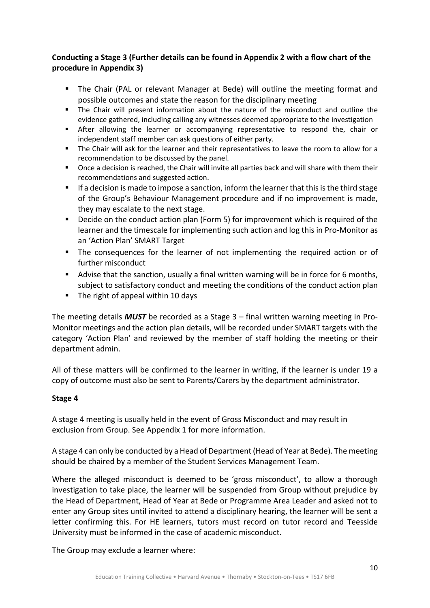#### **Conducting a Stage 3 (Further details can be found in Appendix 2 with a flow chart of the procedure in Appendix 3)**

- The Chair (PAL or relevant Manager at Bede) will outline the meeting format and possible outcomes and state the reason for the disciplinary meeting
- The Chair will present information about the nature of the misconduct and outline the evidence gathered, including calling any witnesses deemed appropriate to the investigation
- **After allowing the learner or accompanying representative to respond the, chair or** independent staff member can ask questions of either party.
- The Chair will ask for the learner and their representatives to leave the room to allow for a recommendation to be discussed by the panel.
- Once a decision is reached, the Chair will invite all parties back and will share with them their recommendations and suggested action.
- If a decision is made to impose a sanction, inform the learner that this is the third stage of the Group's Behaviour Management procedure and if no improvement is made, they may escalate to the next stage.
- Decide on the conduct action plan (Form 5) for improvement which is required of the learner and the timescale for implementing such action and log this in Pro‐Monitor as an 'Action Plan' SMART Target
- The consequences for the learner of not implementing the required action or of further misconduct
- Advise that the sanction, usually a final written warning will be in force for 6 months, subject to satisfactory conduct and meeting the conditions of the conduct action plan
- The right of appeal within 10 days

The meeting details *MUST* be recorded as a Stage 3 – final written warning meeting in Pro‐ Monitor meetings and the action plan details, will be recorded under SMART targets with the category 'Action Plan' and reviewed by the member of staff holding the meeting or their department admin.

All of these matters will be confirmed to the learner in writing, if the learner is under 19 a copy of outcome must also be sent to Parents/Carers by the department administrator.

#### **Stage 4**

A stage 4 meeting is usually held in the event of Gross Misconduct and may result in exclusion from Group. See Appendix 1 for more information.

A stage 4 can only be conducted by a Head of Department (Head of Year at Bede). The meeting should be chaired by a member of the Student Services Management Team.

Where the alleged misconduct is deemed to be 'gross misconduct', to allow a thorough investigation to take place, the learner will be suspended from Group without prejudice by the Head of Department, Head of Year at Bede or Programme Area Leader and asked not to enter any Group sites until invited to attend a disciplinary hearing, the learner will be sent a letter confirming this. For HE learners, tutors must record on tutor record and Teesside University must be informed in the case of academic misconduct.

The Group may exclude a learner where: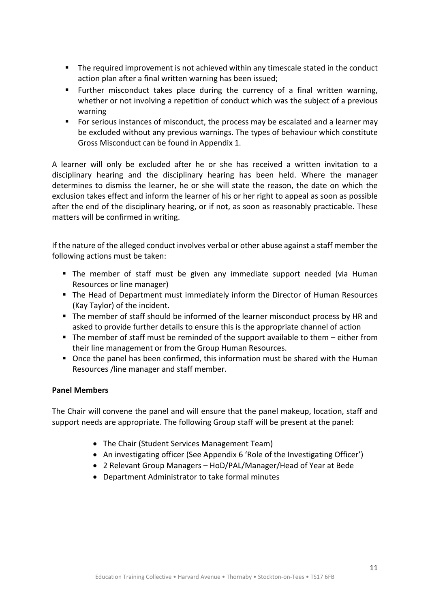- **The required improvement is not achieved within any timescale stated in the conduct** action plan after a final written warning has been issued;
- **Further misconduct takes place during the currency of a final written warning,** whether or not involving a repetition of conduct which was the subject of a previous warning
- For serious instances of misconduct, the process may be escalated and a learner may be excluded without any previous warnings. The types of behaviour which constitute Gross Misconduct can be found in Appendix 1.

A learner will only be excluded after he or she has received a written invitation to a disciplinary hearing and the disciplinary hearing has been held. Where the manager determines to dismiss the learner, he or she will state the reason, the date on which the exclusion takes effect and inform the learner of his or her right to appeal as soon as possible after the end of the disciplinary hearing, or if not, as soon as reasonably practicable. These matters will be confirmed in writing.

If the nature of the alleged conduct involves verbal or other abuse against a staff member the following actions must be taken:

- The member of staff must be given any immediate support needed (via Human Resources or line manager)
- The Head of Department must immediately inform the Director of Human Resources (Kay Taylor) of the incident.
- The member of staff should be informed of the learner misconduct process by HR and asked to provide further details to ensure this is the appropriate channel of action
- The member of staff must be reminded of the support available to them either from their line management or from the Group Human Resources.
- Once the panel has been confirmed, this information must be shared with the Human Resources /line manager and staff member.

#### **Panel Members**

The Chair will convene the panel and will ensure that the panel makeup, location, staff and support needs are appropriate. The following Group staff will be present at the panel:

- The Chair (Student Services Management Team)
- An investigating officer (See Appendix 6 'Role of the Investigating Officer')
- 2 Relevant Group Managers HoD/PAL/Manager/Head of Year at Bede
- Department Administrator to take formal minutes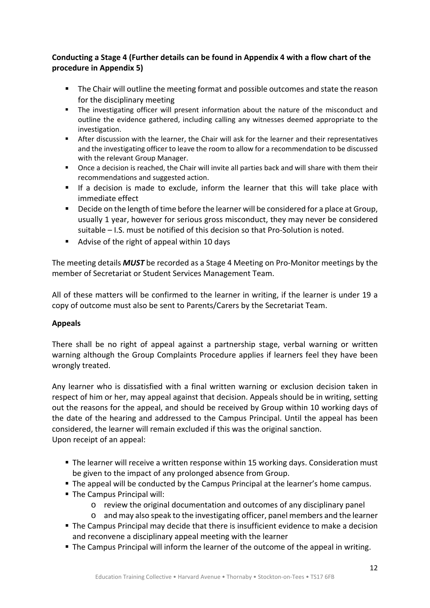#### **Conducting a Stage 4 (Further details can be found in Appendix 4 with a flow chart of the procedure in Appendix 5)**

- **The Chair will outline the meeting format and possible outcomes and state the reason** for the disciplinary meeting
- The investigating officer will present information about the nature of the misconduct and outline the evidence gathered, including calling any witnesses deemed appropriate to the investigation.
- After discussion with the learner, the Chair will ask for the learner and their representatives and the investigating officer to leave the room to allow for a recommendation to be discussed with the relevant Group Manager.
- Once a decision is reached, the Chair will invite all parties back and will share with them their recommendations and suggested action.
- If a decision is made to exclude, inform the learner that this will take place with immediate effect
- **Decide on the length of time before the learner will be considered for a place at Group,** usually 1 year, however for serious gross misconduct, they may never be considered suitable – I.S. must be notified of this decision so that Pro‐Solution is noted.
- Advise of the right of appeal within 10 days

The meeting details *MUST* be recorded as a Stage 4 Meeting on Pro‐Monitor meetings by the member of Secretariat or Student Services Management Team.

All of these matters will be confirmed to the learner in writing, if the learner is under 19 a copy of outcome must also be sent to Parents/Carers by the Secretariat Team.

#### **Appeals**

There shall be no right of appeal against a partnership stage, verbal warning or written warning although the Group Complaints Procedure applies if learners feel they have been wrongly treated.

Any learner who is dissatisfied with a final written warning or exclusion decision taken in respect of him or her, may appeal against that decision. Appeals should be in writing, setting out the reasons for the appeal, and should be received by Group within 10 working days of the date of the hearing and addressed to the Campus Principal. Until the appeal has been considered, the learner will remain excluded if this was the original sanction. Upon receipt of an appeal:

- The learner will receive a written response within 15 working days. Consideration must be given to the impact of any prolonged absence from Group.
- The appeal will be conducted by the Campus Principal at the learner's home campus.
- **The Campus Principal will:** 
	- o review the original documentation and outcomes of any disciplinary panel
	- o and may also speak to the investigating officer, panel members and the learner
- The Campus Principal may decide that there is insufficient evidence to make a decision and reconvene a disciplinary appeal meeting with the learner
- The Campus Principal will inform the learner of the outcome of the appeal in writing.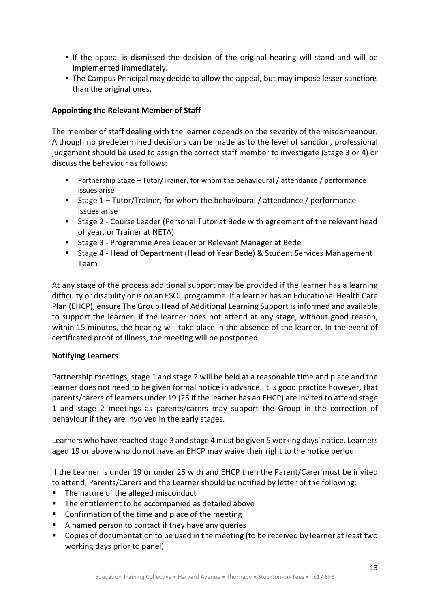- If the appeal is dismissed the decision of the original hearing will stand and will be implemented immediately.
- The Campus Principal may decide to allow the appeal, but may impose lesser sanctions than the original ones.

#### **Appointing the Relevant Member of Staff**

The member of staff dealing with the learner depends on the severity of the misdemeanour. Although no predetermined decisions can be made as to the level of sanction, professional judgement should be used to assign the correct staff member to investigate (Stage 3 or 4) or discuss the behaviour as follows:

- Partnership Stage Tutor/Trainer, for whom the behavioural / attendance / performance issues arise
- Stage 1 Tutor/Trainer, for whom the behavioural / attendance / performance issues arise
- Stage 2 Course Leader (Personal Tutor at Bede with agreement of the relevant head of year, or Trainer at NETA)
- Stage 3 Programme Area Leader or Relevant Manager at Bede
- Stage 4 Head of Department (Head of Year Bede) & Student Services Management Team

At any stage of the process additional support may be provided if the learner has a learning difficulty or disability or is on an ESOL programme. If a learner has an Educational Health Care Plan (EHCP), ensure The Group Head of Additional Learning Support is informed and available to support the learner. If the learner does not attend at any stage, without good reason, within 15 minutes, the hearing will take place in the absence of the learner. In the event of certificated proof of illness, the meeting will be postponed.

#### **Notifying Learners**

Partnership meetings, stage 1 and stage 2 will be held at a reasonable time and place and the learner does not need to be given formal notice in advance. It is good practice however, that parents/carers of learners under 19 (25 if the learner has an EHCP) are invited to attend stage 1 and stage 2 meetings as parents/carers may support the Group in the correction of behaviour if they are involved in the early stages.

Learners who have reached stage 3 and stage 4 must be given 5 working days' notice. Learners aged 19 or above who do not have an EHCP may waive their right to the notice period.

If the Learner is under 19 or under 25 with and EHCP then the Parent/Carer must be invited to attend, Parents/Carers and the Learner should be notified by letter of the following:

- The nature of the alleged misconduct
- The entitlement to be accompanied as detailed above
- Confirmation of the time and place of the meeting
- A named person to contact if they have any queries
- Copies of documentation to be used in the meeting (to be received by learner at least two working days prior to panel)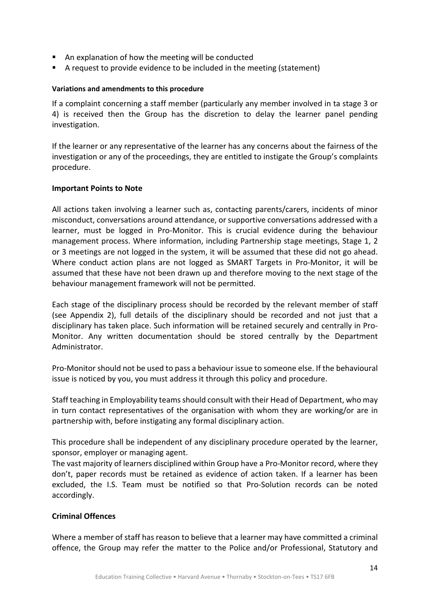- An explanation of how the meeting will be conducted
- A request to provide evidence to be included in the meeting (statement)

#### **Variations and amendments to this procedure**

If a complaint concerning a staff member (particularly any member involved in ta stage 3 or 4) is received then the Group has the discretion to delay the learner panel pending investigation.

If the learner or any representative of the learner has any concerns about the fairness of the investigation or any of the proceedings, they are entitled to instigate the Group's complaints procedure.

#### **Important Points to Note**

All actions taken involving a learner such as, contacting parents/carers, incidents of minor misconduct, conversations around attendance, or supportive conversations addressed with a learner, must be logged in Pro‐Monitor. This is crucial evidence during the behaviour management process. Where information, including Partnership stage meetings, Stage 1, 2 or 3 meetings are not logged in the system, it will be assumed that these did not go ahead. Where conduct action plans are not logged as SMART Targets in Pro-Monitor, it will be assumed that these have not been drawn up and therefore moving to the next stage of the behaviour management framework will not be permitted.

Each stage of the disciplinary process should be recorded by the relevant member of staff (see Appendix 2), full details of the disciplinary should be recorded and not iust that a disciplinary has taken place. Such information will be retained securely and centrally in Pro‐ Monitor. Any written documentation should be stored centrally by the Department Administrator.

Pro‐Monitor should not be used to pass a behaviour issue to someone else. If the behavioural issue is noticed by you, you must address it through this policy and procedure.

Staff teaching in Employability teams should consult with their Head of Department, who may in turn contact representatives of the organisation with whom they are working/or are in partnership with, before instigating any formal disciplinary action.

This procedure shall be independent of any disciplinary procedure operated by the learner, sponsor, employer or managing agent.

The vast majority of learners disciplined within Group have a Pro‐Monitor record, where they don't, paper records must be retained as evidence of action taken. If a learner has been excluded, the I.S. Team must be notified so that Pro‐Solution records can be noted accordingly.

#### **Criminal Offences**

Where a member of staff has reason to believe that a learner may have committed a criminal offence, the Group may refer the matter to the Police and/or Professional, Statutory and